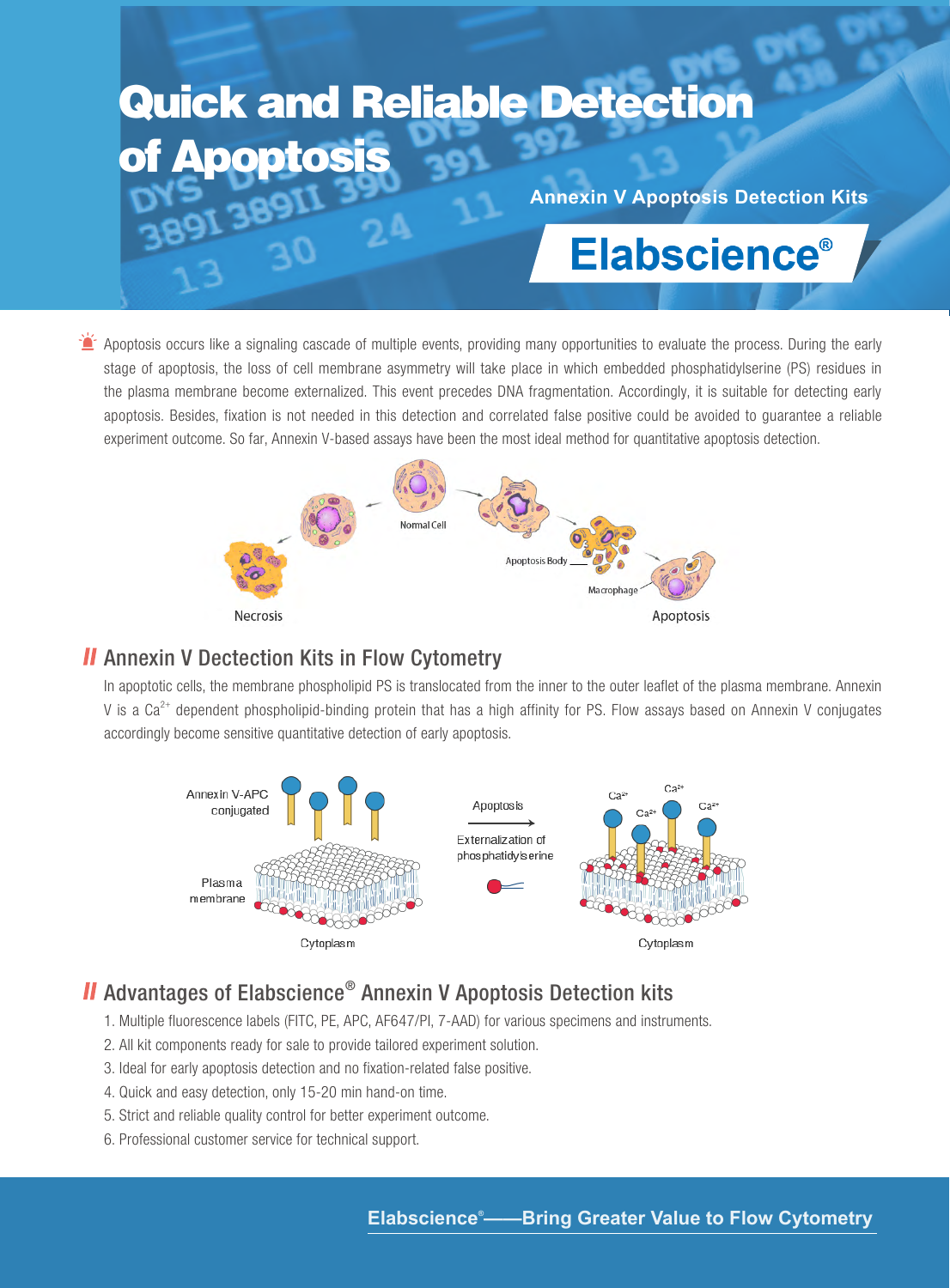# Quick and Reliable Detection Apoptosis

**Annexin V Apoptosis Detection Kits**

## **Elabscience®**

**A** Apoptosis occurs like a signaling cascade of multiple events, providing many opportunities to evaluate the process. During the early stage of apoptosis, the loss of cell membrane asymmetry will take place in which embedded phosphatidylserine (PS) residues in the plasma membrane become externalized. This event precedes DNA fragmentation. Accordingly, it is suitable for detecting early apoptosis. Besides, fixation is not needed in this detection and correlated false positive could be avoided to guarantee a reliable experiment outcome. So far, Annexin V-based assays have been the most ideal method for quantitative apoptosis detection.



## **II** Annexin V Dectection Kits in Flow Cytometry

In apoptotic cells, the membrane phospholipid PS is translocated from the inner to the outer leaflet of the plasma membrane. Annexin V is a  $Ca^{2+}$  dependent phospholipid-binding protein that has a high affinity for PS. Flow assays based on Annexin V conjugates accordingly become sensitive quantitative detection of early apoptosis.



## Advantages of Elabscience® Annexin V Apoptosis Detection kits

- 1. Multiple fluorescence labels (FITC, PE, APC, AF647/PI, 7-AAD) for various specimens and instruments.
- 2. All kit components ready for sale to provide tailored experiment solution.
- 3. Ideal for early apoptosis detection and no fixation-related false positive.
- 4. Quick and easy detection, only 15-20 min hand-on time.
- 5. Strict and reliable quality control for better experiment outcome.
- 6. Professional customer service for technical support.